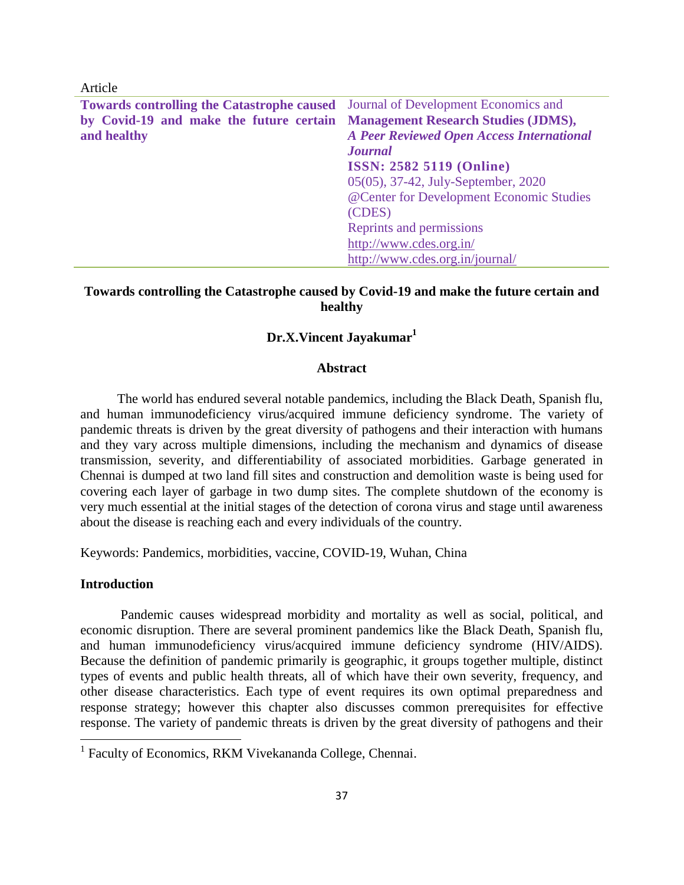| Article                                                                                |                                                  |  |
|----------------------------------------------------------------------------------------|--------------------------------------------------|--|
| <b>Towards controlling the Catastrophe caused</b> Journal of Development Economics and |                                                  |  |
| by Covid-19 and make the future certain Management Research Studies (JDMS),            |                                                  |  |
| and healthy                                                                            | <b>A Peer Reviewed Open Access International</b> |  |
|                                                                                        | <b>Journal</b>                                   |  |
|                                                                                        | <b>ISSN: 2582 5119 (Online)</b>                  |  |
|                                                                                        | 05(05), 37-42, July-September, 2020              |  |
|                                                                                        | @Center for Development Economic Studies         |  |
|                                                                                        | (CDES)                                           |  |
|                                                                                        | Reprints and permissions                         |  |
|                                                                                        | http://www.cdes.org.in/                          |  |
|                                                                                        | http://www.cdes.org.in/journal/                  |  |

# **Towards controlling the Catastrophe caused by Covid-19 and make the future certain and healthy**

## **Dr.X.Vincent Jayakumar<sup>1</sup>**

### **Abstract**

The world has endured several notable pandemics, including the Black Death, Spanish flu, and human immunodeficiency virus/acquired immune deficiency syndrome. The variety of pandemic threats is driven by the great diversity of pathogens and their interaction with humans and they vary across multiple dimensions, including the mechanism and dynamics of disease transmission, severity, and differentiability of associated morbidities. Garbage generated in Chennai is dumped at two land fill sites and construction and demolition waste is being used for covering each layer of garbage in two dump sites. The complete shutdown of the economy is very much essential at the initial stages of the detection of corona virus and stage until awareness about the disease is reaching each and every individuals of the country.

Keywords: Pandemics, morbidities, vaccine, COVID-19, Wuhan, China

### **Introduction**

 $\overline{\phantom{a}}$ 

Pandemic causes widespread morbidity and mortality as well as social, political, and economic disruption. There are several prominent pandemics like the Black Death, Spanish flu, and human immunodeficiency virus/acquired immune deficiency syndrome (HIV/AIDS). Because the definition of pandemic primarily is geographic, it groups together multiple, distinct types of events and public health threats, all of which have their own severity, frequency, and other disease characteristics. Each type of event requires its own optimal preparedness and response strategy; however this chapter also discusses common prerequisites for effective response. The variety of pandemic threats is driven by the great diversity of pathogens and their

<sup>&</sup>lt;sup>1</sup> Faculty of Economics, RKM Vivekananda College, Chennai.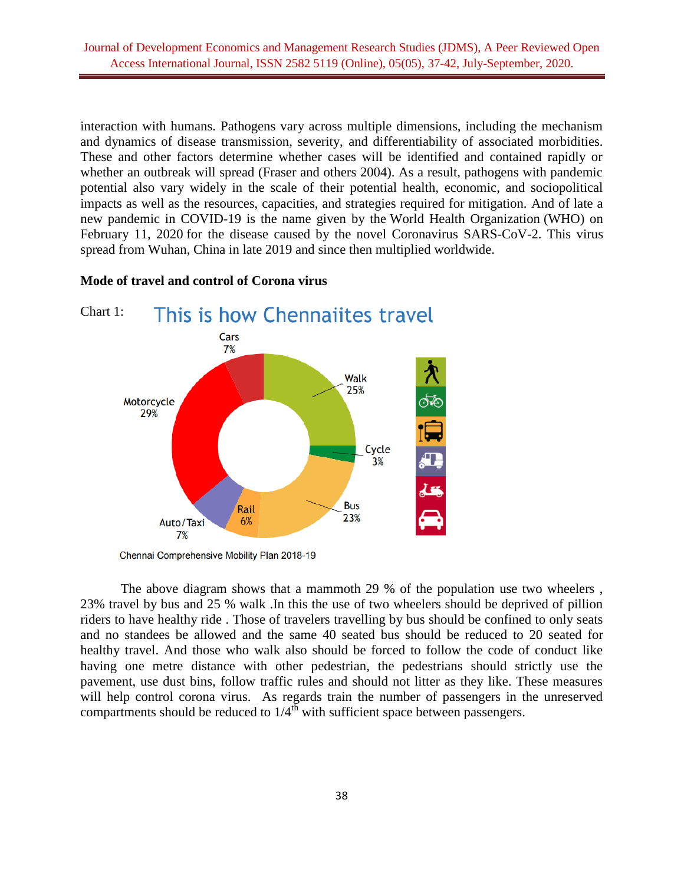interaction with humans. Pathogens vary across multiple dimensions, including the mechanism and dynamics of disease transmission, severity, and differentiability of associated morbidities. These and other factors determine whether cases will be identified and contained rapidly or whether an outbreak will spread (Fraser and others 2004). As a result, pathogens with pandemic potential also vary widely in the scale of their potential health, economic, and sociopolitical impacts as well as the resources, capacities, and strategies required for mitigation. And of late a new pandemic in COVID-19 is the name given by the World Health Organization (WHO) on February 11, 2020 for the disease caused by the novel Coronavirus SARS-CoV-2. This virus spread from Wuhan, China in late 2019 and since then multiplied worldwide.



#### **Mode of travel and control of Corona virus**

Chennai Comprehensive Mobility Plan 2018-19

The above diagram shows that a mammoth 29 % of the population use two wheelers , 23% travel by bus and 25 % walk .In this the use of two wheelers should be deprived of pillion riders to have healthy ride . Those of travelers travelling by bus should be confined to only seats and no standees be allowed and the same 40 seated bus should be reduced to 20 seated for healthy travel. And those who walk also should be forced to follow the code of conduct like having one metre distance with other pedestrian, the pedestrians should strictly use the pavement, use dust bins, follow traffic rules and should not litter as they like. These measures will help control corona virus. As regards train the number of passengers in the unreserved compartments should be reduced to  $1/4^{\text{th}}$  with sufficient space between passengers.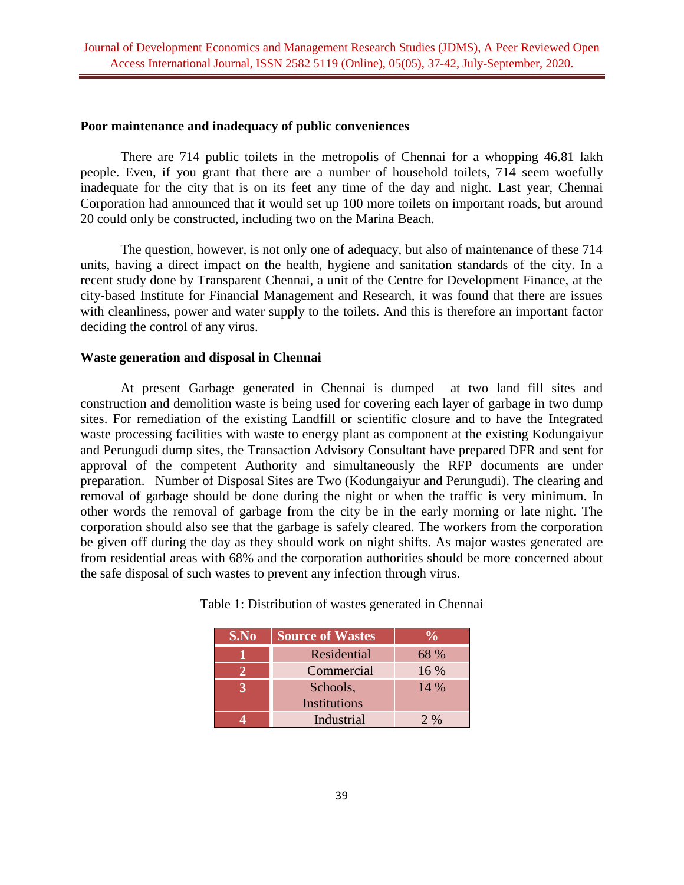### **Poor maintenance and inadequacy of public conveniences**

There are 714 public toilets in the metropolis of Chennai for a whopping 46.81 lakh people. Even, if you grant that there are a number of household toilets, 714 seem woefully inadequate for the city that is on its feet any time of the day and night. Last year, Chennai Corporation had announced that it would set up 100 more toilets on important roads, but around 20 could only be constructed, including two on the Marina Beach.

The question, however, is not only one of adequacy, but also of maintenance of these 714 units, having a direct impact on the health, hygiene and sanitation standards of the city. In a recent study done by Transparent Chennai, a unit of the Centre for Development Finance, at the city-based Institute for Financial Management and Research, it was found that there are issues with cleanliness, power and water supply to the toilets. And this is therefore an important factor deciding the control of any virus.

### **Waste generation and disposal in Chennai**

At present Garbage generated in Chennai is dumped at two land fill sites and construction and demolition waste is being used for covering each layer of garbage in two dump sites. For remediation of the existing Landfill or scientific closure and to have the Integrated waste processing facilities with waste to energy plant as component at the existing Kodungaiyur and Perungudi dump sites, the Transaction Advisory Consultant have prepared DFR and sent for approval of the competent Authority and simultaneously the RFP documents are under preparation. Number of Disposal Sites are Two (Kodungaiyur and Perungudi). The clearing and removal of garbage should be done during the night or when the traffic is very minimum. In other words the removal of garbage from the city be in the early morning or late night. The corporation should also see that the garbage is safely cleared. The workers from the corporation be given off during the day as they should work on night shifts. As major wastes generated are from residential areas with 68% and the corporation authorities should be more concerned about the safe disposal of such wastes to prevent any infection through virus.

| S.No | <b>Source of Wastes</b> |                 |
|------|-------------------------|-----------------|
|      | Residential             | 68 %            |
|      | Commercial              | $16\%$          |
|      | Schools,                | $14\%$          |
|      | Institutions            |                 |
|      | Industrial              | $2 \frac{0}{0}$ |

Table 1: Distribution of wastes generated in Chennai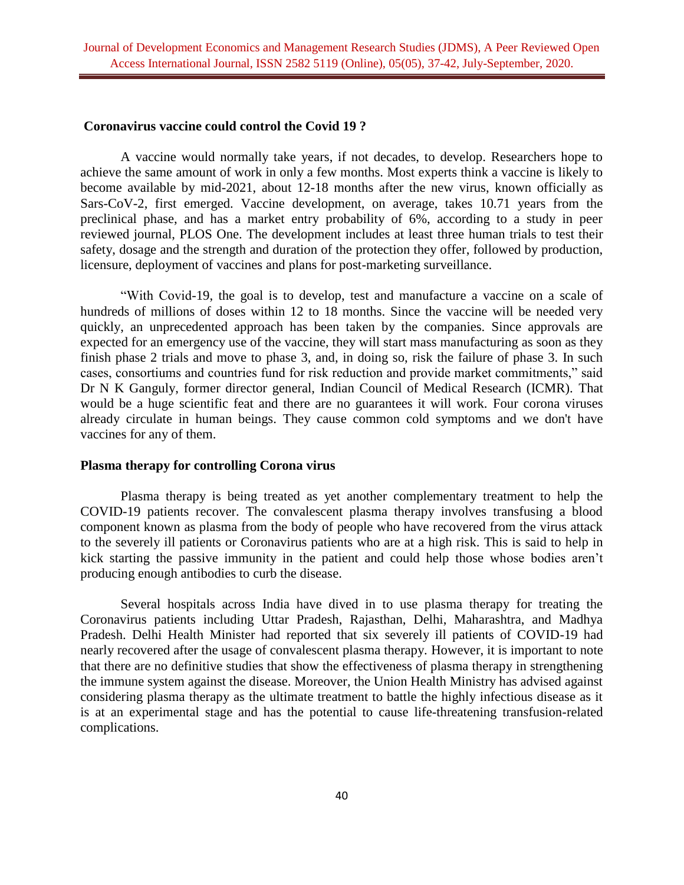#### **Coronavirus vaccine could control the Covid 19 ?**

A vaccine would normally take years, if not decades, to develop. Researchers hope to achieve the same amount of work in only a few months. Most experts think a vaccine is likely to become available by mid-2021, about 12-18 months after the new virus, known officially as Sars-CoV-2, first emerged. Vaccine development, on average, takes 10.71 years from the preclinical phase, and has a market entry probability of 6%, according to a study in peer reviewed journal, PLOS One. The development includes at least three human trials to test their safety, dosage and the strength and duration of the protection they offer, followed by production, licensure, deployment of vaccines and plans for post-marketing surveillance.

"With Covid-19, the goal is to develop, test and manufacture a vaccine on a scale of hundreds of millions of doses within 12 to 18 months. Since the vaccine will be needed very quickly, an unprecedented approach has been taken by the companies. Since approvals are expected for an emergency use of the vaccine, they will start mass manufacturing as soon as they finish phase 2 trials and move to phase 3, and, in doing so, risk the failure of phase 3. In such cases, consortiums and countries fund for risk reduction and provide market commitments," said Dr N K Ganguly, former director general, Indian Council of Medical Research (ICMR). That would be a huge scientific feat and there are no guarantees it will work. Four corona viruses already circulate in human beings. They cause common cold symptoms and we don't have vaccines for any of them.

## **Plasma therapy for controlling Corona virus**

Plasma therapy is being treated as yet another complementary treatment to help the COVID-19 patients recover. The convalescent plasma therapy involves transfusing a blood component known as plasma from the body of people who have recovered from the virus attack to the severely ill patients or Coronavirus patients who are at a high risk. This is said to help in kick starting the passive immunity in the patient and could help those whose bodies aren't producing enough antibodies to curb the disease.

Several hospitals across India have dived in to use plasma therapy for treating the Coronavirus patients including Uttar Pradesh, Rajasthan, Delhi, Maharashtra, and Madhya Pradesh. Delhi Health Minister had reported that six severely ill patients of COVID-19 had nearly recovered after the usage of convalescent plasma therapy. However, it is important to note that there are no definitive studies that show the effectiveness of plasma therapy in strengthening the immune system against the disease. Moreover, the Union Health Ministry has advised against considering plasma therapy as the ultimate treatment to battle the highly infectious disease as it is at an experimental stage and has the potential to cause life-threatening transfusion-related complications.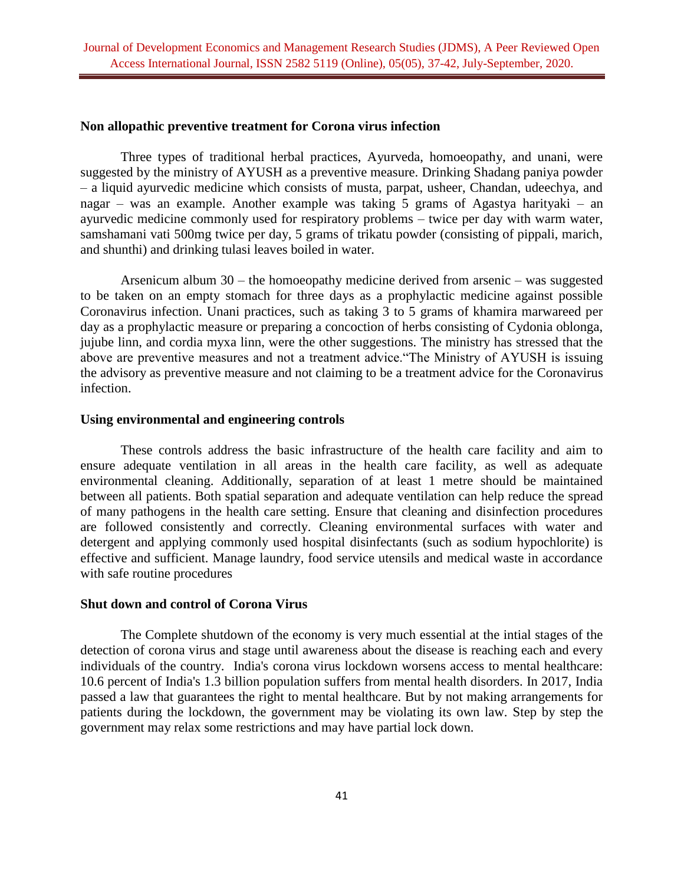### **Non allopathic preventive treatment for Corona virus infection**

Three types of traditional herbal practices, Ayurveda, homoeopathy, and unani, were suggested by the ministry of AYUSH as a preventive measure. Drinking Shadang paniya powder – a liquid ayurvedic medicine which consists of musta, parpat, usheer, Chandan, udeechya, and nagar – was an example. Another example was taking 5 grams of Agastya harityaki – an ayurvedic medicine commonly used for respiratory problems – twice per day with warm water, samshamani vati 500mg twice per day, 5 grams of trikatu powder (consisting of pippali, marich, and shunthi) and drinking tulasi leaves boiled in water.

Arsenicum album 30 – the homoeopathy medicine derived from arsenic – was suggested to be taken on an empty stomach for three days as a prophylactic medicine against possible Coronavirus infection. Unani practices, such as taking 3 to 5 grams of khamira marwareed per day as a prophylactic measure or preparing a concoction of herbs consisting of Cydonia oblonga, jujube linn, and cordia myxa linn, were the other suggestions. The ministry has stressed that the above are preventive measures and not a treatment advice."The Ministry of AYUSH is issuing the advisory as preventive measure and not claiming to be a treatment advice for the Coronavirus infection.

#### **Using environmental and engineering controls**

These controls address the basic infrastructure of the health care facility and aim to ensure adequate ventilation in all areas in the health care facility, as well as adequate environmental cleaning. Additionally, separation of at least 1 metre should be maintained between all patients. Both spatial separation and adequate ventilation can help reduce the spread of many pathogens in the health care setting. Ensure that cleaning and disinfection procedures are followed consistently and correctly. Cleaning environmental surfaces with water and detergent and applying commonly used hospital disinfectants (such as sodium hypochlorite) is effective and sufficient. Manage laundry, food service utensils and medical waste in accordance with safe routine procedures

# **Shut down and control of Corona Virus**

 The Complete shutdown of the economy is very much essential at the intial stages of the detection of corona virus and stage until awareness about the disease is reaching each and every individuals of the country. India's corona virus lockdown worsens access to mental healthcare: 10.6 percent of India's 1.3 billion population suffers from mental health disorders. In 2017, India passed a law that guarantees the right to mental healthcare. But by not making arrangements for patients during the lockdown, the government may be violating its own law. Step by step the government may relax some restrictions and may have partial lock down.